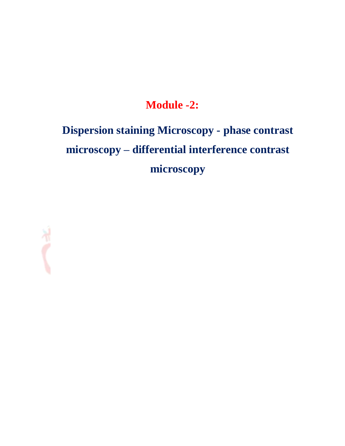## **Module -2:**

# **Dispersion staining Microscopy - phase contrast microscopy – differential interference contrast microscopy**

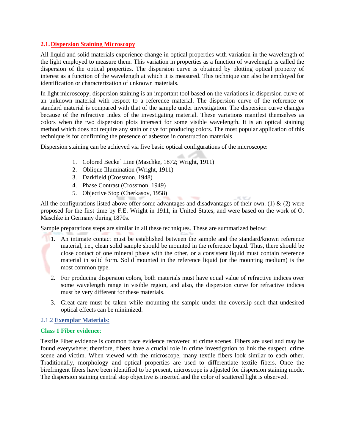#### **2.1.Dispersion Staining Microscopy**

All liquid and solid materials experience change in optical properties with variation in the wavelength of the light employed to measure them. This variation in properties as a function of wavelength is called the dispersion of the optical properties. The dispersion curve is obtained by plotting optical property of interest as a function of the wavelength at which it is measured. This technique can also be employed for identification or characterization of unknown materials.

In light microscopy, dispersion staining is an important tool based on the variations in dispersion curve of an unknown material with respect to a reference material. The dispersion curve of the reference or standard material is compared with that of the sample under investigation. The dispersion curve changes because of the refractive index of the investigating material. These variations manifest themselves as colors when the two dispersion plots intersect for some visible wavelength. It is an optical staining method which does not require any stain or dye for producing colors. The most popular application of this technique is for confirming the presence of asbestos in construction materials.

Dispersion staining can be achieved via five basic optical configurations of the microscope:

- 1. Colored Becke` Line (Maschke, 1872; Wright, 1911)
- 2. Oblique Illumination (Wright, 1911)
- 3. Darkfield (Crossmon, 1948)
- 4. Phase Contrast (Crossmon, 1949)
- 5. Objective Stop (Cherkasov, 1958)

All the configurations listed above offer some advantages and disadvantages of their own. (1) & (2) were proposed for the first time by F.E. Wright in 1911, in United States, and were based on the work of O. Maschke in Germany during 1870s.

**ACTIVES** 

Sample preparations steps are similar in all these techniques. These are summarized below:

- 1. An intimate contact must be established between the sample and the standard/known reference material, i.e., clean solid sample should be mounted in the reference liquid. Thus, there should be close contact of one mineral phase with the other, or a consistent liquid must contain reference material in solid form. Solid mounted in the reference liquid (or the mounting medium) is the most common type.
	- 2. For producing dispersion colors, both materials must have equal value of refractive indices over some wavelength range in visible region, and also, the dispersion curve for refractive indices must be very different for these materials.
	- 3. Great care must be taken while mounting the sample under the coverslip such that undesired optical effects can be minimized.

#### 2.1.2 **Exemplar Materials**:

#### **Class 1 Fiber evidence**:

Textile Fiber evidence is common trace evidence recovered at crime scenes. Fibers are used and may be found everywhere; therefore, fibers have a crucial role in crime investigation to link the suspect, crime scene and victim. When viewed with the microscope, many textile fibers look similar to each other. Traditionally, morphology and optical properties are used to differentiate textile fibers. Once the birefringent fibers have been identified to be present, microscope is adjusted for dispersion staining mode. The dispersion staining central stop objective is inserted and the color of scattered light is observed.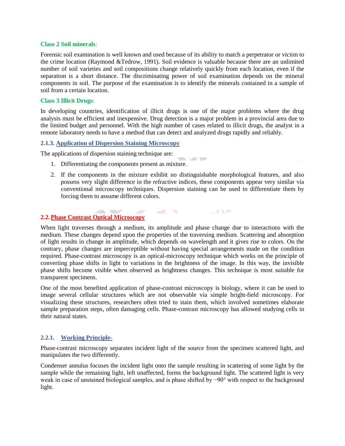#### **Class 2 Soil minerals**:

Forensic soil examination is well known and used because of its ability to match a perpetrator or victim to the crime location (Raymond &Tedrow, 1991). Soil evidence is valuable because there are an unlimited number of soil varieties and soil compositions change relatively quickly from each location, even if the separation is a short distance. The discriminating power of soil examination depends on the mineral components in soil. The purpose of the examination is to identify the minerals contained in a sample of soil from a certain location.

#### **Class 3 Illicit Drugs**:

In developing countries, identification of illicit drugs is one of the major problems where the drug analysis must be efficient and inexpensive. Drug detection is a major problem in a provincial area due to the limited budget and personnel. With the high number of cases related to illicit drugs, the analyst in a remote laboratory needs to have a method that can detect and analyzed drugs rapidly and reliably.

#### **2.1.3. Application of Dispersion Staining Microscopy**

The applications of dispersion staining technique are:

- 1. Differentiating the components present as mixture.
- 2. If the components in the mixture exhibit no distinguishable morphological features, and also possess very slight difference in the refractive indices, these components appear very similar via conventional microscopy techniques. Dispersion staining can be used to differentiate them by forcing them to assume different colors.

**CONTRACTOR** 

**COV** 

#### **2.2.Phase Contrast Optical Microscopy**

When light traverses through a medium, its amplitude and phase change due to interactions with the medium. These changes depend upon the properties of the traversing medium. Scattering and absorption of light results in change in amplitude, which depends on wavelength and it gives rise to colors. On the contrary, phase changes are imperceptible without having special arrangements made on the condition required. Phase-contrast microscopy is an optical-microscopy technique which works on the principle of converting phase shifts in light to variations in the brightness of the image. In this way, the invisible phase shifts become visible when observed as brightness changes. This technique is most suitable for transparent specimens.

**SALES TOP** 

 $\sim$ 

One of the most benefited application of phase-contrast microscopy is biology, where it can be used to image several cellular structures which are not observable via simple bright-field microscopy. For visualizing these structures, researchers often tried to stain them, which involved sometimes elaborate sample preparation steps, often damaging cells. Phase-contrast microscopy has allowed studying cells in their natural states.

#### **2.2.1. Working Principle-**

Phase-contrast microscopy separates incident light of the source from the specimen scattered light, and manipulates the two differently.

Condenser annulus focuses the incident light onto the sample resulting in scattering of some light by the sample while the remaining light, left unaffected, forms the background light. The scattered light is very weak in case of unstained biological samples, and is phase shifted by −90° with respect to the background light.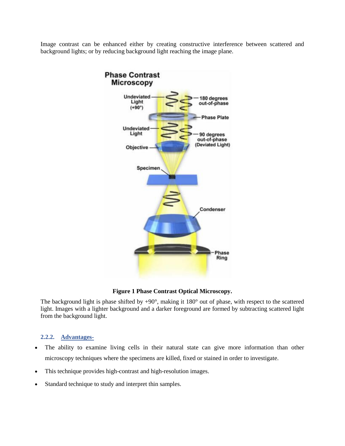Image contrast can be enhanced either by creating constructive interference between scattered and background lights; or by reducing background light reaching the image plane.



**Figure 1 Phase Contrast Optical Microscopy.**

The background light is phase shifted by  $+90^{\circ}$ , making it 180° out of phase, with respect to the scattered light. Images with a lighter background and a darker foreground are formed by subtracting scattered light from the background light.

#### **2.2.2. Advantages-**

- The ability to examine living cells in their natural state can give more information than other microscopy techniques where the specimens are killed, fixed or stained in order to investigate.
- This technique provides high-contrast and high-resolution images.
- Standard technique to study and interpret thin samples.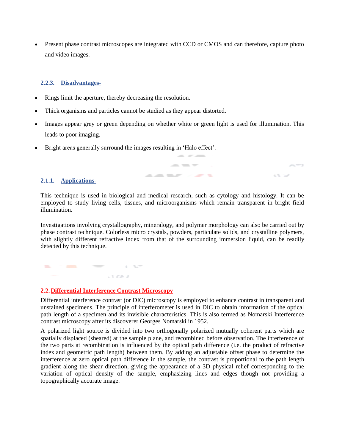Present phase contrast microscopes are integrated with CCD or CMOS and can therefore, capture photo and video images.

#### **2.2.3. Disadvantages-**

- Rings limit the aperture, thereby decreasing the resolution.
- Thick organisms and particles cannot be studied as they appear distorted.
- Images appear grey or green depending on whether white or green light is used for illumination. This leads to poor imaging.

and are seen as

 $\sim$   $\sim$ 

 $- - -$ **ALCOHOL: ALCOHOL:** 

Bright areas generally surround the images resulting in 'Halo effect'.

#### **2.1.1. Applications-**

This technique is used in biological and medical research, such as cytology and histology. It can be employed to study living cells, tissues, and microorganisms which remain transparent in bright field illumination.

Investigations involving crystallography, mineralogy, and polymer morphology can also be carried out by phase contrast technique. Colorless micro crystals, powders, particulate solids, and crystalline polymers, with slightly different refractive index from that of the surrounding immersion liquid, can be readily detected by this technique.

and the same of the same of the same  $\sim$  3  $~$  0%  $~\mu$   $_{\odot}$ 

#### **2.2.Differential Interference Contrast Microscopy**

Differential interference contrast (or DIC) microscopy is employed to enhance contrast in transparent and unstained specimens. The principle of interferometer is used in DIC to obtain information of the optical path length of a specimen and its invisible characteristics. This is also termed as Nomarski Interference contrast microscopy after its discoverer Georges Nomarski in 1952.

A polarized light source is divided into two orthogonally polarized mutually coherent parts which are spatially displaced (sheared) at the sample plane, and recombined before observation. The interference of the two parts at recombination is influenced by the optical path difference (i.e. the product of [refractive](https://en.wikipedia.org/wiki/Refractive_index)  [index](https://en.wikipedia.org/wiki/Refractive_index) and geometric path length) between them. By adding an adjustable offset phase to determine the interference at zero optical path difference in the sample, the contrast is proportional to the path length gradient along the shear direction, giving the appearance of a 3D physical relief corresponding to the variation of optical density of the sample, emphasizing lines and edges though not providing a topographically accurate image.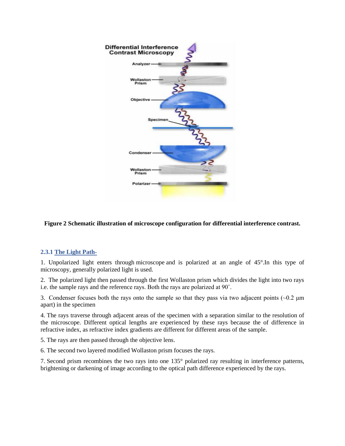

#### **Figure 2 Schematic illustration of microscope configuration for differential interference contrast.**

#### **2.3.1 The Light Path-**

1. Unpolarized light enters through [microscope](https://en.wikipedia.org/wiki/Microscope) and is polarized at an angle of 45°.In this type of microscopy, generally polarized light is used.

2. The polarized light then passed through the first Wollaston prism which divides the light into two rays i.e. the sample rays and the reference rays. Both the rays are polarized at 90˚.

3. Condenser focuses both the rays onto the sample so that they pass via two adjacent points  $\sim 0.2 \mu m$ apart) in the specimen

4. The rays traverse through adjacent areas of the specimen with a separation similar to the resolution of the microscope. Different optical lengths are experienced by these rays because the of difference in refractive index, as refractive index gradients are different for different areas of the sample.

5. The rays are then passed through the [objective lens.](https://en.wikipedia.org/wiki/Objective_lens)

6. The second two layered modified Wollaston prism focuses the rays.

7. Second prism recombines the two rays into one 135° polarized ray resulting in interference patterns, brightening or darkening of image according to the optical path difference experienced by the rays.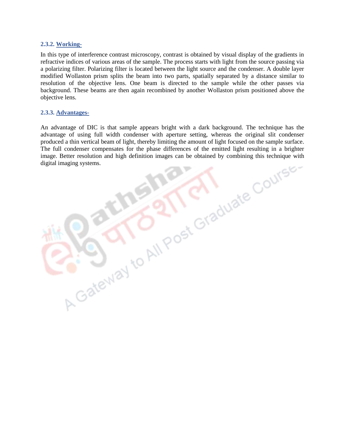#### **2.3.2. Working-**

In this type of interference contrast microscopy, contrast is obtained by visual display of the gradients in refractive indices of various areas of the sample. The process starts with light from the source passing via a polarizing filter. Polarizing filter is located between the light source and the condenser. A double layer modified Wollaston prism splits the beam into two parts, spatially separated by a distance similar to resolution of the objective lens. One beam is directed to the sample while the other passes via background. These beams are then again recombined by another Wollaston prism positioned above the objective lens.

#### **2.3.3. Advantages-**

An advantage of DIC is that sample appears bright with a dark background. The technique has the advantage of using full width condenser with aperture setting, whereas the original slit condenser produced a thin vertical beam of light, thereby limiting the amount of light focused on the sample surface. The full condenser compensates for the phase differences of the emitted light resulting in a brighter image. Better resolution and high definition images can be obtained by combining this technique with<br>digital imaging systems.<br>
The property of the condition of the condition is the combining this technique with<br>
The proper digital imaging systems.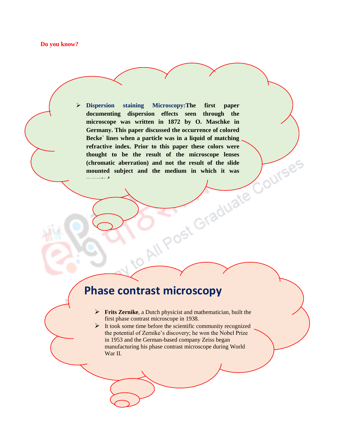#### **Do you know?**

 **Dispersion staining Microscopy:The first paper documenting dispersion effects seen through the microscope was written in 1872 by O. Maschke in Germany. This paper discussed the occurrence of colored Becke` lines when a particle was in a liquid of matching**  refractive index. Prior to this paper these colors were thought to be the result of the microscope lenses (chromatic aberration) and not the result of the slide mounted subject and the medium in which it was **and the slide thought to be the result of the microscope lenses (chromatic aberration) and not the result of the slide mounted subject and the medium in which it was mounted.**

### **Phase contrast microscopy**

**Frits Zernike**, a Dutch physicist and mathematician, built the first phase contrast microscope in 1938.

 $\triangleright$  It took some time before the scientific community recognized the potential of Zernike's discovery; he won the Nobel Prize in 1953 and the German-based company Zeiss began manufacturing his phase contrast microscope during World War II.